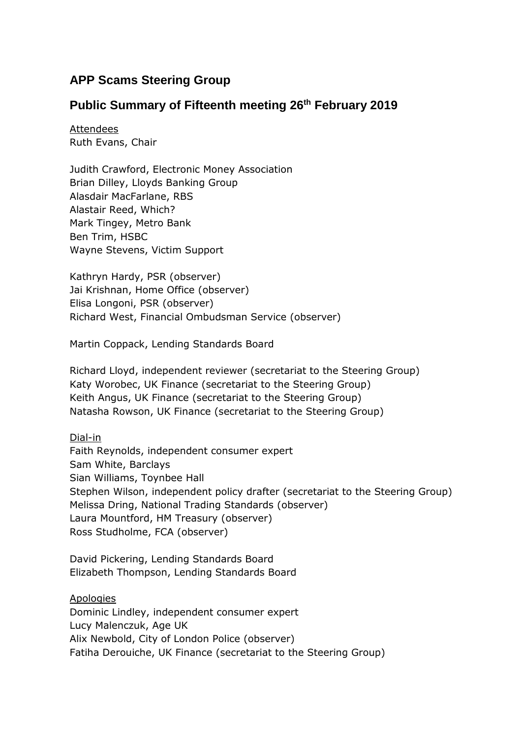# **APP Scams Steering Group**

## **Public Summary of Fifteenth meeting 26th February 2019**

Attendees Ruth Evans, Chair

Judith Crawford, Electronic Money Association Brian Dilley, Lloyds Banking Group Alasdair MacFarlane, RBS Alastair Reed, Which? Mark Tingey, Metro Bank Ben Trim, HSBC Wayne Stevens, Victim Support

Kathryn Hardy, PSR (observer) Jai Krishnan, Home Office (observer) Elisa Longoni, PSR (observer) Richard West, Financial Ombudsman Service (observer)

Martin Coppack, Lending Standards Board

Richard Lloyd, independent reviewer (secretariat to the Steering Group) Katy Worobec, UK Finance (secretariat to the Steering Group) Keith Angus, UK Finance (secretariat to the Steering Group) Natasha Rowson, UK Finance (secretariat to the Steering Group)

Dial-in

Faith Reynolds, independent consumer expert Sam White, Barclays Sian Williams, Toynbee Hall Stephen Wilson, independent policy drafter (secretariat to the Steering Group) Melissa Dring, National Trading Standards (observer) Laura Mountford, HM Treasury (observer) Ross Studholme, FCA (observer)

David Pickering, Lending Standards Board Elizabeth Thompson, Lending Standards Board

Apologies Dominic Lindley, independent consumer expert Lucy Malenczuk, Age UK Alix Newbold, City of London Police (observer) Fatiha Derouiche, UK Finance (secretariat to the Steering Group)